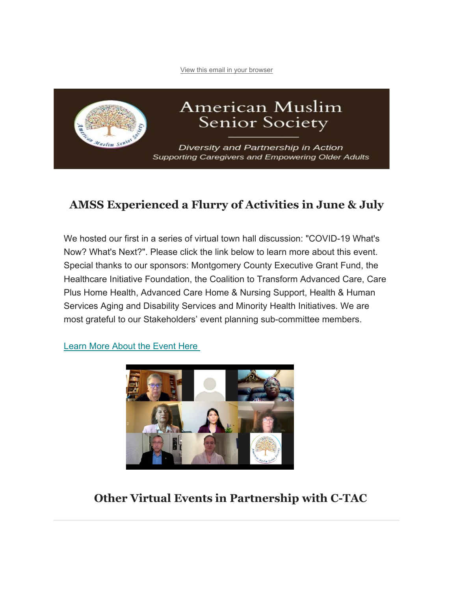[View this email in your browser](https://us19.campaign-archive.com/?e=%5bUNIQID%5d&u=52786eebeff02e9f4b0901155&id=6566c50cfd)



## **AMSS Experienced a Flurry of Activities in June & July**

We hosted our first in a series of virtual town hall discussion: "COVID-19 What's Now? What's Next?". Please click the link below to learn more about this event. Special thanks to our sponsors: Montgomery County Executive Grant Fund, the Healthcare Initiative Foundation, the Coalition to Transform Advanced Care, Care Plus Home Health, Advanced Care Home & Nursing Support, Health & Human Services Aging and Disability Services and Minority Health Initiatives. We are most grateful to our Stakeholders' event planning sub-committee members.

[Learn More About the Event Here](https://www.amssmd.org/featured-project)



#### **Other Virtual Events in Partnership with C-TAC**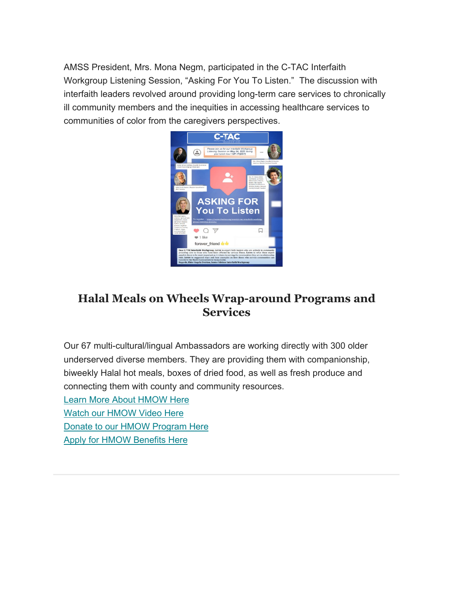AMSS President, Mrs. Mona Negm, participated in the C-TAC Interfaith Workgroup Listening Session, "Asking For You To Listen." The discussion with interfaith leaders revolved around providing long-term care services to chronically ill community members and the inequities in accessing healthcare services to communities of color from the caregivers perspectives.



### **Halal Meals on Wheels Wrap-around Programs and Services**

Our 67 multi-cultural/lingual Ambassadors are working directly with 300 older underserved diverse members. They are providing them with companionship, biweekly Halal hot meals, boxes of dried food, as well as fresh produce and connecting them with county and community resources.

[Learn More About HMOW Here](https://www.amssmd.org/halal-meals-on-wheels)

[Watch our HMOW Video Here](https://www.youtube.com/watch?v=-ovgmc6C3wg)

[Donate to our HMOW Program Here](https://www.paypal.com/paypalme/amssmd)

**[Apply for HMOW Benefits Here](https://48bb19a6-4b7b-42a1-a690-64d5264974f0.filesusr.com/ugd/6d4bcd_a9b84768122549cf9701ec7ef7f333fd.pdf)**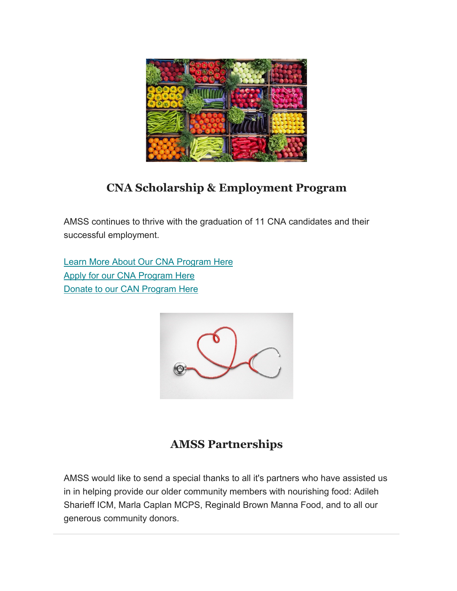

## **CNA Scholarship & Employment Program**

AMSS continues to thrive with the graduation of 11 CNA candidates and their successful employment.

[Learn More About Our CNA Program Here](https://www.amssmd.org/cna-program) [Apply for our CNA Program Here](https://www.amssmd.org/cna-program) [Donate to our CAN Program Here](https://www.paypal.com/paypalme/amssmd)



## **AMSS Partnerships**

AMSS would like to send a special thanks to all it's partners who have assisted us in in helping provide our older community members with nourishing food: Adileh Sharieff ICM, Marla Caplan MCPS, Reginald Brown Manna Food, and to all our generous community donors.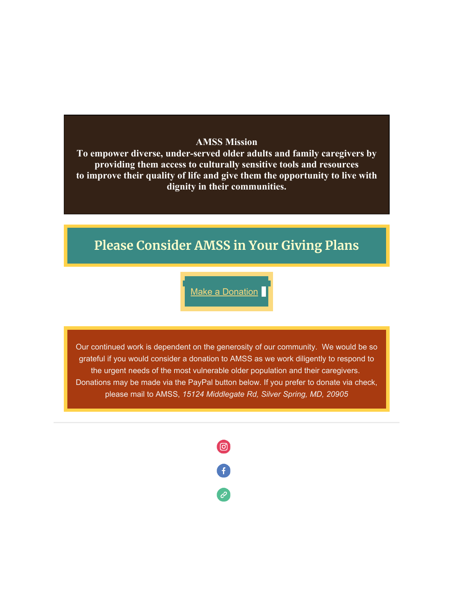#### **AMSS Mission**

**To empower diverse, under-served older adults and family caregivers by providing them access to culturally sensitive tools and resources to improve their quality of life and give them the opportunity to live with dignity in their communities.**

# **Please Consider AMSS in Your Giving Plans**

[Make a Donation](https://www.paypal.com/paypalme/amssmd)

Our continued work is dependent on the generosity of our community. We would be so grateful if you would consider a donation to AMSS as we work diligently to respond to the urgent needs of the most vulnerable older population and their caregivers. Donations may be made via the PayPal button below. If you prefer to donate via check, please mail to AMSS, *15124 Middlegate Rd, Silver Spring, MD, 20905*